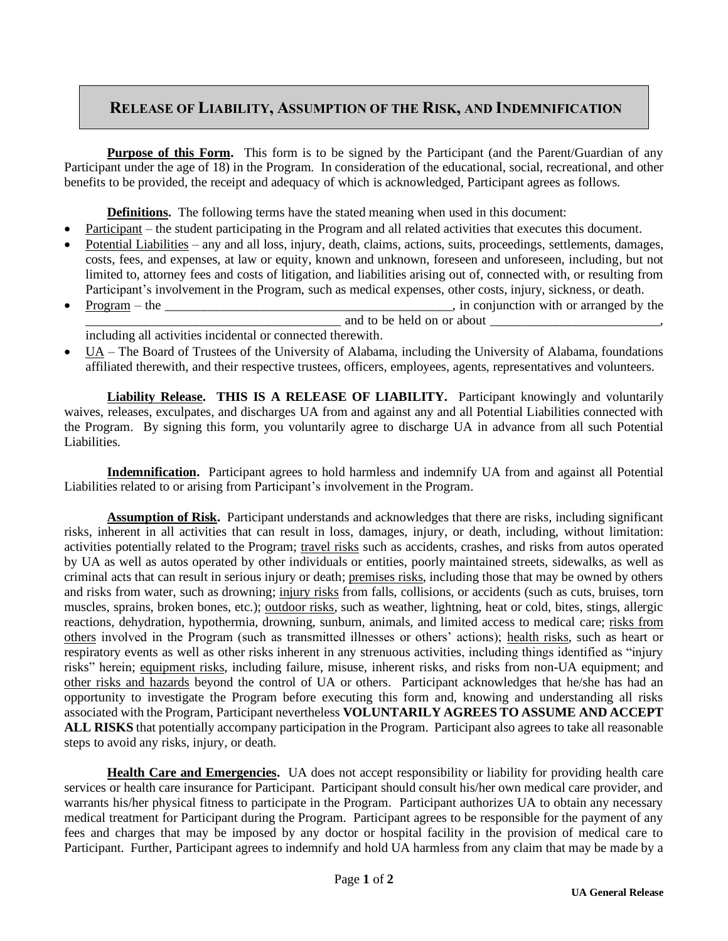## **RELEASE OF LIABILITY, ASSUMPTION OF THE RISK, AND INDEMNIFICATION**

**Purpose of this Form.** This form is to be signed by the Participant (and the Parent/Guardian of any Participant under the age of 18) in the Program. In consideration of the educational, social, recreational, and other benefits to be provided, the receipt and adequacy of which is acknowledged, Participant agrees as follows.

**Definitions.** The following terms have the stated meaning when used in this document:

- Participant the student participating in the Program and all related activities that executes this document.
- Potential Liabilities any and all loss, injury, death, claims, actions, suits, proceedings, settlements, damages, costs, fees, and expenses, at law or equity, known and unknown, foreseen and unforeseen, including, but not limited to, attorney fees and costs of litigation, and liabilities arising out of, connected with, or resulting from Participant's involvement in the Program, such as medical expenses, other costs, injury, sickness, or death.
- Program the \_\_\_\_\_\_\_\_\_\_\_\_\_\_\_\_\_\_\_\_\_\_\_\_\_\_\_\_\_\_\_\_\_\_\_\_\_\_\_\_\_\_\_\_, in conjunction with or arranged by the \_\_\_\_\_\_\_\_\_\_\_\_\_\_\_\_\_\_\_\_\_\_\_\_\_\_\_\_\_\_\_\_\_\_\_\_\_\_\_ and to be held on or about \_\_\_\_\_\_\_\_\_\_\_\_\_\_\_\_\_\_\_\_\_\_\_\_\_\_,
- including all activities incidental or connected therewith.
- UA The Board of Trustees of the University of Alabama, including the University of Alabama, foundations affiliated therewith, and their respective trustees, officers, employees, agents, representatives and volunteers.

**Liability Release. THIS IS A RELEASE OF LIABILITY.** Participant knowingly and voluntarily waives, releases, exculpates, and discharges UA from and against any and all Potential Liabilities connected with the Program. By signing this form, you voluntarily agree to discharge UA in advance from all such Potential Liabilities.

**Indemnification.** Participant agrees to hold harmless and indemnify UA from and against all Potential Liabilities related to or arising from Participant's involvement in the Program.

**Assumption of Risk.** Participant understands and acknowledges that there are risks, including significant risks, inherent in all activities that can result in loss, damages, injury, or death, including, without limitation: activities potentially related to the Program; travel risks such as accidents, crashes, and risks from autos operated by UA as well as autos operated by other individuals or entities, poorly maintained streets, sidewalks, as well as criminal acts that can result in serious injury or death; premises risks, including those that may be owned by others and risks from water, such as drowning; injury risks from falls, collisions, or accidents (such as cuts, bruises, torn muscles, sprains, broken bones, etc.); outdoor risks, such as weather, lightning, heat or cold, bites, stings, allergic reactions, dehydration, hypothermia, drowning, sunburn, animals, and limited access to medical care; risks from others involved in the Program (such as transmitted illnesses or others' actions); health risks, such as heart or respiratory events as well as other risks inherent in any strenuous activities, including things identified as "injury risks" herein; equipment risks, including failure, misuse, inherent risks, and risks from non-UA equipment; and other risks and hazards beyond the control of UA or others. Participant acknowledges that he/she has had an opportunity to investigate the Program before executing this form and, knowing and understanding all risks associated with the Program, Participant nevertheless **VOLUNTARILY AGREES TO ASSUME AND ACCEPT ALL RISKS** that potentially accompany participation in the Program. Participant also agrees to take all reasonable steps to avoid any risks, injury, or death.

**Health Care and Emergencies.** UA does not accept responsibility or liability for providing health care services or health care insurance for Participant. Participant should consult his/her own medical care provider, and warrants his/her physical fitness to participate in the Program. Participant authorizes UA to obtain any necessary medical treatment for Participant during the Program. Participant agrees to be responsible for the payment of any fees and charges that may be imposed by any doctor or hospital facility in the provision of medical care to Participant. Further, Participant agrees to indemnify and hold UA harmless from any claim that may be made by a